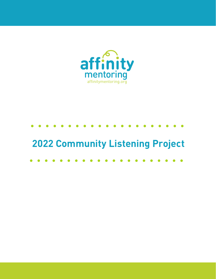

## **2022 Community Listening Project**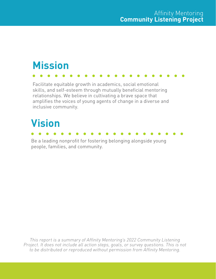# **Mission**

Facilitate equitable growth in academics, social emotional skills, and self-esteem through mutually beneficial mentoring relationships. We believe in cultivating a brave space that amplifies the voices of young agents of change in a diverse and inclusive community.

## **Vision**

Be a leading nonprofit for fostering belonging alongside young people, families, and community.

This report is a summary of Affinity Mentoring's 2022 Community Listening Project. It does not include all action steps, goals, or survey questions. This is not to be distributed or reproduced without permission from Affinity Mentoring.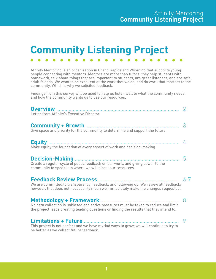## **Community Listening Project**

Affinity Mentoring is an organization in Grand Rapids and Wyoming that supports young people connecting with mentors. Mentors are more than tutors; they help students with homework, talk about things that are important to students, are great listeners, and are safe, adult friends. We want to be excellent at the work that we do, and do work that matters to the community. Which is why we solicited feedback.

Findings from this survey will be used to help us listen well to what the community needs, and how the community wants us to use our resources.

| Letter from Affinity's Executive Director.                                                                                                                                       |         |
|----------------------------------------------------------------------------------------------------------------------------------------------------------------------------------|---------|
| Give space and priority for the community to determine and support the future.                                                                                                   |         |
| Make equity the foundation of every aspect of work and decision-making.                                                                                                          | ᠘       |
| Create a regular cycle of public feedback on our work, and giving power to the<br>community to speak into where we will direct our resources.                                    | 5       |
| We are committed to transparency, feedback, and following up. We review all feedback;<br>however, that does not necessarily mean we immediately make the changes requested.      | $6 - 7$ |
| No data collection is unbiased and active measures must be taken to reduce and limit<br>the project leads creating leading questions or finding the results that they intend to. |         |
| This project is not perfect and we have myriad ways to grow; we will continue to try to<br>be better as we collect future feedback.                                              |         |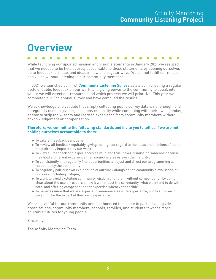### **Overview**

While launching our updated mission and vision statements in January 2021 we realized that we needed to be held actively accountable to these statements by opening ourselves up to feedback, critique, and ideas in new and regular ways. We cannot fulfill our mission and vision without listening to our community members.

In 2021 we launched our first **Community Listening Survey** as a step in creating a regular cycle of public feedback on our work, and giving power to the community to speak into where we will direct our resources and which projects we will prioritize. This year we completed our 2nd annual survey and have compiled the results.

We acknowledge and validate that simply collecting public survey data is not enough, and is regularly used to give organizations credibility while continuing with their own agendas, and/or to strip the wisdom and learned experience from community members without acknowledgement or compensation.

#### **Therefore, we commit to the following standards and invite you to tell us if we are not holding ourselves accountable to them:**

- ▶ To take all feedback seriously;
- $\blacktriangleright$  To review all feedback equitably, giving the highest regard to the ideas and opinions of those most directly impacted by our work;
- ▶ To view all feedback and experiences as valid and true, never dismissing someone because they hold a different experience than someone else or even the majority;
- ▶ To consistently and regularly find opportunities to adjust and direct our programming as requested by the community;
- ▶ To regularly pair our own explanation of our work alongside the community's evaluation of our work, including critique;
- $\blacktriangleright$  To work to avoid exploiting community wisdom and talent without compensation by being clear about the use of research, how it will impact the community, what we intend to do with data, and offering compensation for expertise whenever possible;
- ▶ To never assume that we are experts in someone else's life experience, but to allow each person to be the expert of their own experience.

We are grateful for our community and feel honored to be able to partner alongside organizations, community members, schools, families, and students towards more equitable futures for young people.

Sincerely,

The Affinity Mentoring Team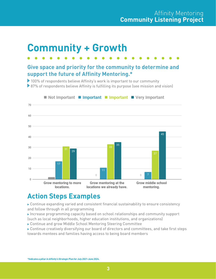### **Community + Growth**

### **Give space and priority for the community to determine and support the future of Affinity Mentoring.\***

▶ 100% of respondents believe Affinity's work is important to our community

87% of respondents believe Affinity is fulfilling its purpose (see mission and vision)



#### Not Important Important Important IVery Important

### **Action Steps Examples**

 Continue expanding varied and consistent financial sustainability to ensure consistency and follow through in all programming

- Increase programming capacity based on school relationships and community support (such as local neighborhoods, higher education institutions, and organizations)
- Continue and grow Middle School Mentoring Steering Committee
- Continue creatively diversifying our board of directors and committees, and take first steps towards mentees and families having access to being board members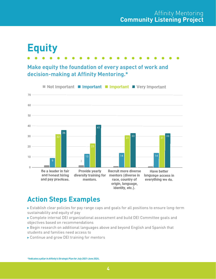## **Equity**

### **Make equity the foundation of every aspect of work and decision-making at Affinity Mentoring.\***



### **Action Steps Examples**

- Establish clear policies for pay range caps and goals for all positions to ensure long-term sustainability and equity of pay
- Complete internal DEI organizational assessment and build DEI Committee goals and objectives based on recommendations
- Begin research on additional languages above and beyond English and Spanish that students and families need access to
- ▶ Continue and grow DEI training for mentors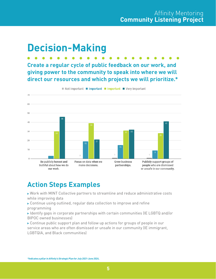## **Decision-Making**

**Create a regular cycle of public feedback on our work, and giving power to the community to speak into where we will direct our resources and which projects we will prioritize.\***



Not Important **II Important II Important II** Very Important

### **Action Steps Examples**

 Work with MINT Collective partners to streamline and reduce administrative costs while improving data

- Continue using outlined, regular data collection to improve and refine programming
- Identify gaps in corporate partnerships with certain communities (IE LGBTQ and/or BIPOC owned businesses)
- Continue public support plan and follow up actions for groups of people in our service areas who are often dismissed or unsafe in our community (IE immigrant, LGBTQIA, and Black communities)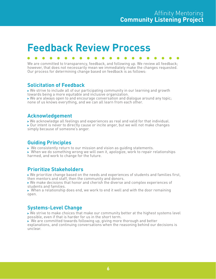### **Feedback Review Process**

We are committed to transparency, feedback, and following up. We review all feedback; however, that does not necessarily mean we immediately make the changes requested. Our process for determining change based on feedback is as follows:

#### **Solicitation of Feedback**

 We strive to include all of our participating community in our learning and growth towards being a more equitable and inclusive organization.

 $\triangleright$  We are always open to and encourage conversation and dialogue around any topic; none of us knows everything, and we can all learn from each other.

#### **Acknowledgement**

We acknowledge all feelings and experiences as real and valid for that individual. Our intent is never to directly cause or incite anger, but we will not make changes simply because of someone's anger.

#### **Guiding Principles**

▶ We consistently return to our mission and vision as guiding statements.

 $\triangleright$  When we do something wrong we will own it, apologize, work to repair relationships harmed, and work to change for the future.

#### **Prioritize Stakeholders**

 We prioritize change based on the needs and experiences of students and families first, then mentors and staff, then the community and donors.

 We make decisions that honor and cherish the diverse and complex experiences of students and families.

 $\triangleright$  When a relationship does end, we work to end it well and with the door remaining open.

#### **Systems-Level Change**

 We strive to make choices that make our community better at the highest systems level possible, even if that is harder for us in the short term.

 $\blacktriangleright$  We are committed towards following up, giving more thorough and better explanations, and continuing conversations when the reasoning behind our decisions is unclear.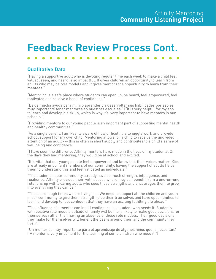### **Feedback Review Process Cont.**

#### **Qualitative Data**

"Having a supportive adult who is devoting regular time each week to make a child feel valued, seen, and heard is so impactful. It gives children an opportunity to learn from adults who may be role models and it gives mentors the opportunity to learn from their mentees."

"Mentoring is a safe place where students can open up, be heard, feel empowered, feel motivated and receive a boost of confidence."

"Es de mucha ayuda para mi hijo aprender y a desarrollar sus habilidades por eso es muy importante tener mentores en nuestras escuelas." ("It is very helpful for my son to learn and develop his skills, which is why it's very important to have mentors in our schools.")

"Providing mentors to our young people is an important part of supporting mental health and healthy communities."

"As a single parent, I am keenly aware of how difficult it is to juggle work and provide school support for my own child. Mentoring allows for a child to receive the undivided attention of an adult --- this is often in short supply and contributes to a child's sense of well being and confidence."

"I have seen the difference Affinity mentors have made in the lives of my students. On the days they had mentoring, they would be at school and excited.

"It is vital that our young people feel empowered and know that their voices matter! Kids are already important members of our community, having the support of adults helps them to understand this and feel validated as individuals."

"The students in our community already have so much strength, intelligence, and resilience. Affinity provides them with spaces where they can benefit from a one-on-one relationship with a caring adult, who sees those strengths and encourages them to grow into everything they can be."

"These are tough times we are living in ... We need to support all the children and youth in our community to give them strength to be their true selves and have opportunities to learn and develop to feel confident that they have an exciting fulfilling life ahead."

"The influence of a mentor can instill confidence in a student who needs it. Students with positive role models outside of family will be more likely to make good decisions for themselves rather than having an absence of these role models. Their good decisions they make for themselves will benefit the peers around them and the community they live in."

"Un mentor es muy importante para el aprendizaje de algunos niños que lo necesitan." ("A mentor is very important for the learning of some children who need it.")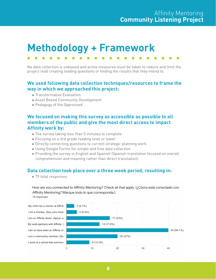## **Methodology + Framework**

No data collection is unbiased and active measures must be taken to reduce and limit the project lead creating leading questions or finding the results that they intend to.

#### **We used following data collection techniques/resources to frame the way in which we approached this project:**

- ▶ Transformative Evaluation
- ▶ Asset Based Community Development
- ▶ Pedagogy of the Oppressed

#### **We focused on making this survey as accessible as possible to all members of the public and give the most direct access to impact Affinity work by:**

- $\blacktriangleright$  The survey taking less than 5 minutes to complete
- ▶ Focusing on a 3rd grade reading level or lower
- $\triangleright$  Directly connecting questions to current strategic planning work
- ▶ Using Google Forms for simple and free data collection
- ▶ Providing the survey in English and Spanish (Spanish translation focused on overall comprehension and meaning rather than direct translation)

#### **Data collection took place over a three week period, resulting in:**

▶ 79 total responses

How are you connected to Affinity Mentoring? Check all that apply. (¿Cómo está conectado con Affinity Mentoring? Marque todo lo que corresponda.) 74 responses

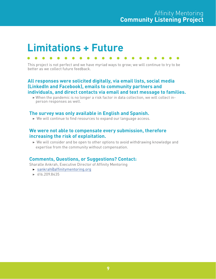### **Limitations + Future**

This project is not perfect and we have myriad ways to grow; we will continue to try to be better as we collect future feedback.

#### **All responses were solicited digitally, via email lists, social media (LinkedIn and Facebook), emails to community partners and individuals, and direct contacts via email and text message to families.**

 $\triangleright$  When the pandemic is no longer a risk factor in data collection, we will collect inperson responses as well.

#### **The survey was only available in English and Spanish.**

 $\triangleright$  We will continue to find resources to expand our language access.

#### **We were not able to compensate every submission, therefore increasing the risk of exploitation.**

 $\triangleright$  We will consider and be open to other options to avoid withdrawing knowledge and expertise from the community without compensation.

#### **Comments, Questions, or Suggestions? Contact:**

Sharalle Ankrah, Executive Director of Affinity Mentoring

- ▶ sankra[h@affinitymentoring.org](mailto:ckiger%40affinitymentoring.org?subject=)
- ▶ 616.209.8435